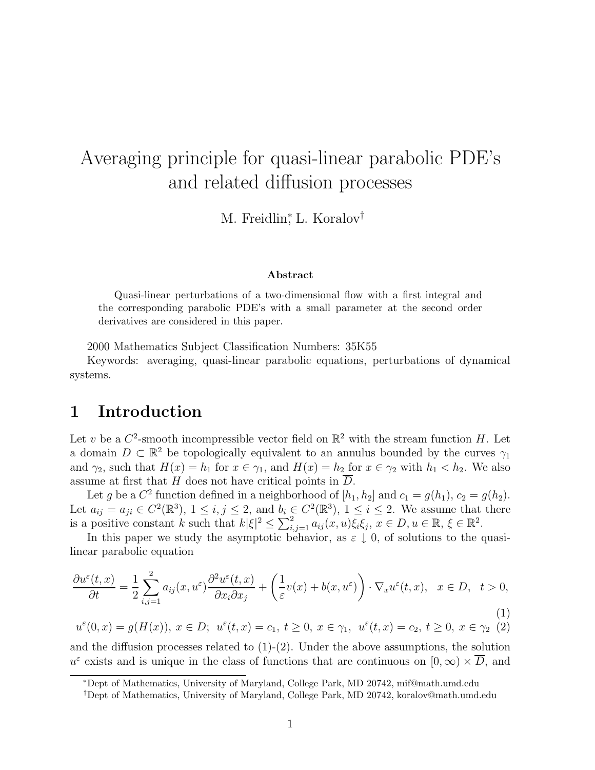# Averaging principle for quasi-linear parabolic PDE's and related diffusion processes

M. Freidlin<sup>\*</sup>, L. Koralov<sup>†</sup>

#### **Abstract**

Quasi-linear perturbations of a two-dimensional flow with a first integral and the corresponding parabolic PDE's with a small parameter at the second order derivatives are considered in this paper.

2000 Mathematics Subject Classification Numbers: 35K55

Keywords: averaging, quasi-linear parabolic equations, perturbations of dynamical systems.

# **1 Introduction**

Let v be a  $C^2$ -smooth incompressible vector field on  $\mathbb{R}^2$  with the stream function H. Let a domain  $D \subset \mathbb{R}^2$  be topologically equivalent to an annulus bounded by the curves  $\gamma_1$ and  $\gamma_2$ , such that  $H(x) = h_1$  for  $x \in \gamma_1$ , and  $H(x) = h_2$  for  $x \in \gamma_2$  with  $h_1 < h_2$ . We also assume at first that H does not have critical points in  $\overline{D}$ .

Let g be a  $C^2$  function defined in a neighborhood of  $[h_1, h_2]$  and  $c_1 = g(h_1), c_2 = g(h_2)$ . Let  $a_{ij} = a_{ji} \in C^2(\mathbb{R}^3)$ ,  $1 \le i, j \le 2$ , and  $b_i \in C^2(\mathbb{R}^3)$ ,  $1 \le i \le 2$ . We assume that there is a positive constant k such that  $k|\xi|^2 \leq \sum_{i,j=1}^2 a_{ij}(x,u)\xi_i\xi_j, x \in D, u \in \mathbb{R}, \xi \in \mathbb{R}^2$ .

In this paper we study the asymptotic behavior, as  $\varepsilon \downarrow 0$ , of solutions to the quasilinear parabolic equation

$$
\frac{\partial u^{\varepsilon}(t,x)}{\partial t} = \frac{1}{2} \sum_{i,j=1}^{2} a_{ij}(x, u^{\varepsilon}) \frac{\partial^{2} u^{\varepsilon}(t,x)}{\partial x_{i} \partial x_{j}} + \left(\frac{1}{\varepsilon} v(x) + b(x, u^{\varepsilon})\right) \cdot \nabla_{x} u^{\varepsilon}(t,x), \quad x \in D, \quad t > 0,
$$
\n(1)

$$
u^{\varepsilon}(0,x) = g(H(x)), x \in D; \ u^{\varepsilon}(t,x) = c_1, t \ge 0, x \in \gamma_1, \ u^{\varepsilon}(t,x) = c_2, t \ge 0, x \in \gamma_2 \ (2)
$$

and the diffusion processes related to  $(1)-(2)$ . Under the above assumptions, the solution  $u^{\varepsilon}$  exists and is unique in the class of functions that are continuous on  $[0, \infty) \times \overline{D}$ , and

<sup>∗</sup>Dept of Mathematics, University of Maryland, College Park, MD 20742, mif@math.umd.edu

<sup>†</sup>Dept of Mathematics, University of Maryland, College Park, MD 20742, koralov@math.umd.edu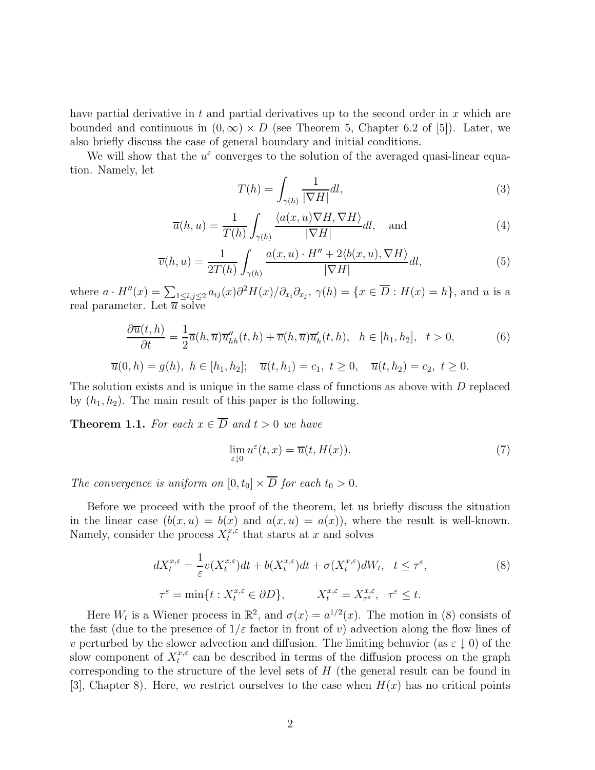have partial derivative in t and partial derivatives up to the second order in  $x$  which are bounded and continuous in  $(0, \infty) \times D$  (see Theorem 5, Chapter 6.2 of [5]). Later, we also briefly discuss the case of general boundary and initial conditions.

We will show that the  $u^{\varepsilon}$  converges to the solution of the averaged quasi-linear equation. Namely, let

$$
T(h) = \int_{\gamma(h)} \frac{1}{|\nabla H|} dl,
$$
\n(3)

$$
\overline{a}(h, u) = \frac{1}{T(h)} \int_{\gamma(h)} \frac{\langle a(x, u) \nabla H, \nabla H \rangle}{|\nabla H|} dl, \text{ and } (4)
$$

$$
\overline{v}(h, u) = \frac{1}{2T(h)} \int_{\gamma(h)} \frac{a(x, u) \cdot H'' + 2\langle b(x, u), \nabla H \rangle}{|\nabla H|} dl,
$$
\n(5)

where  $a \cdot H''(x) = \sum_{1 \leq i,j \leq 2} a_{ij}(x) \partial^2 H(x) / \partial_{x_i} \partial_{x_j}, \gamma(h) = \{x \in \overline{D} : H(x) = h\}$ , and u is a real parameter. Let  $\overline{u}$  solve

$$
\frac{\partial \overline{u}(t,h)}{\partial t} = \frac{1}{2}\overline{a}(h,\overline{u})\overline{u}_{hh}''(t,h) + \overline{v}(h,\overline{u})\overline{u}_h'(t,h), \quad h \in [h_1, h_2], \quad t > 0,
$$
\n(6)

$$
\overline{u}(0, h) = g(h), \ h \in [h_1, h_2]; \quad \overline{u}(t, h_1) = c_1, \ t \ge 0, \quad \overline{u}(t, h_2) = c_2, \ t \ge 0.
$$

The solution exists and is unique in the same class of functions as above with D replaced by  $(h_1, h_2)$ . The main result of this paper is the following.

**Theorem 1.1.** For each  $x \in \overline{D}$  and  $t > 0$  we have

$$
\lim_{\varepsilon \downarrow 0} u^{\varepsilon}(t, x) = \overline{u}(t, H(x)).
$$
\n(7)

The convergence is uniform on  $[0, t_0] \times \overline{D}$  for each  $t_0 > 0$ .

Before we proceed with the proof of the theorem, let us briefly discuss the situation in the linear case  $(b(x, u) = b(x)$  and  $a(x, u) = a(x)$ , where the result is well-known. Namely, consider the process  $X_t^{x,\varepsilon}$  that starts at x and solves

$$
dX_t^{x,\varepsilon} = \frac{1}{\varepsilon} v(X_t^{x,\varepsilon}) dt + b(X_t^{x,\varepsilon}) dt + \sigma(X_t^{x,\varepsilon}) dW_t, \quad t \le \tau^{\varepsilon},
$$
  

$$
\tau^{\varepsilon} = \min\{t : X_t^{x,\varepsilon} \in \partial D\}, \qquad X_t^{x,\varepsilon} = X_{\tau^{\varepsilon}}^{x,\varepsilon}, \quad \tau^{\varepsilon} \le t.
$$
 (8)

Here  $W_t$  is a Wiener process in  $\mathbb{R}^2$ , and  $\sigma(x) = a^{1/2}(x)$ . The motion in (8) consists of the fast (due to the presence of  $1/\varepsilon$  factor in front of v) advection along the flow lines of v perturbed by the slower advection and diffusion. The limiting behavior (as  $\varepsilon \downarrow 0$ ) of the slow component of  $X_t^{x,\varepsilon}$  can be described in terms of the diffusion process on the graph corresponding to the structure of the level sets of H (the general result can be found in [3], Chapter 8). Here, we restrict ourselves to the case when  $H(x)$  has no critical points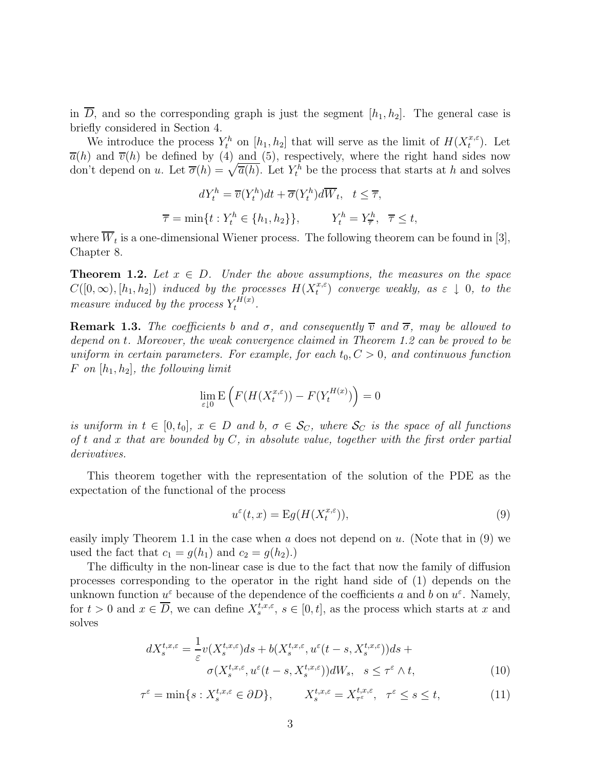in  $\overline{D}$ , and so the corresponding graph is just the segment  $[h_1, h_2]$ . The general case is briefly considered in Section 4.

We introduce the process  $Y_t^h$  on  $[h_1, h_2]$  that will serve as the limit of  $H(X_t^{x,\varepsilon})$ . Let  $\overline{a}(h)$  and  $\overline{v}(h)$  be defined by (4) and (5), respectively, where the right hand sides now don't depend on u. Let  $\overline{\sigma}(h) = \sqrt{\overline{a}(h)}$ . Let  $Y_t^h$  be the process that starts at h and solves

$$
dY_t^h = \overline{v}(Y_t^h)dt + \overline{\sigma}(Y_t^h)d\overline{W}_t, \quad t \leq \overline{\tau},
$$
  

$$
\overline{\tau} = \min\{t: Y_t^h \in \{h_1, h_2\}\}, \qquad Y_t^h = Y_{\overline{\tau}}^h, \quad \overline{\tau} \leq t,
$$

where  $\overline{W}_t$  is a one-dimensional Wiener process. The following theorem can be found in [3], Chapter 8.

**Theorem 1.2.** Let  $x \in D$ . Under the above assumptions, the measures on the space  $C([0,\infty), [h_1, h_2])$  induced by the processes  $H(X_t^{x,\varepsilon})$  converge weakly, as  $\varepsilon \downarrow 0$ , to the measure induced by the process  $Y_t^{H(x)}$ .

**Remark 1.3.** The coefficients b and  $\sigma$ , and consequently  $\overline{v}$  and  $\overline{\sigma}$ , may be allowed to depend on t. Moreover, the weak convergence claimed in Theorem 1.2 can be proved to be uniform in certain parameters. For example, for each  $t_0, C > 0$ , and continuous function F on  $[h_1, h_2]$ , the following limit

$$
\lim_{\varepsilon \downarrow 0} \mathbf{E}\left(F(H(X^{x,\varepsilon}_t)) - F(Y^{H(x)}_t)\right) = 0
$$

is uniform in  $t \in [0, t_0], x \in D$  and b,  $\sigma \in \mathcal{S}_C$ , where  $\mathcal{S}_C$  is the space of all functions of t and x that are bounded by  $C$ , in absolute value, together with the first order partial derivatives.

This theorem together with the representation of the solution of the PDE as the expectation of the functional of the process

$$
u^{\varepsilon}(t,x) = \mathcal{E}g(H(X_t^{x,\varepsilon})),\tag{9}
$$

easily imply Theorem 1.1 in the case when  $a$  does not depend on  $u$ . (Note that in (9) we used the fact that  $c_1 = g(h_1)$  and  $c_2 = g(h_2)$ .

The difficulty in the non-linear case is due to the fact that now the family of diffusion processes corresponding to the operator in the right hand side of (1) depends on the unknown function  $u^{\varepsilon}$  because of the dependence of the coefficients a and b on  $u^{\varepsilon}$ . Namely, for  $t > 0$  and  $x \in \overline{D}$ , we can define  $X_s^{t,x,\varepsilon}$ ,  $s \in [0,t]$ , as the process which starts at x and solves

$$
dX_s^{t,x,\varepsilon} = \frac{1}{\varepsilon} v(X_s^{t,x,\varepsilon}) ds + b(X_s^{t,x,\varepsilon}, u^{\varepsilon}(t-s, X_s^{t,x,\varepsilon})) ds +
$$
  

$$
\sigma(X_s^{t,x,\varepsilon}, u^{\varepsilon}(t-s, X_s^{t,x,\varepsilon})) dW_s, \quad s \leq \tau^{\varepsilon} \wedge t,
$$
 (10)

$$
\tau^{\varepsilon} = \min\{s : X_s^{t,x,\varepsilon} \in \partial D\}, \qquad X_s^{t,x,\varepsilon} = X_{\tau^{\varepsilon}}^{t,x,\varepsilon}, \quad \tau^{\varepsilon} \le s \le t,\tag{11}
$$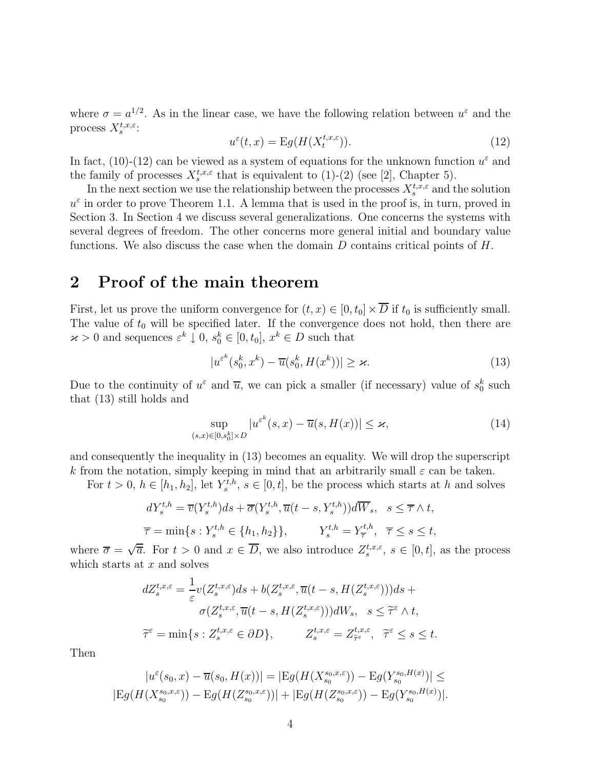where  $\sigma = a^{1/2}$ . As in the linear case, we have the following relation between  $u^{\varepsilon}$  and the process  $X_s^{t,x,\varepsilon}$ :

$$
u^{\varepsilon}(t,x) = \mathcal{E}g(H(X_t^{t,x,\varepsilon})).
$$
\n(12)

In fact, (10)-(12) can be viewed as a system of equations for the unknown function  $u^{\varepsilon}$  and the family of processes  $X_s^{t,x,\varepsilon}$  that is equivalent to (1)-(2) (see [2], Chapter 5).

In the next section we use the relationship between the processes  $X_s^{t,x,\varepsilon}$  and the solution  $u^{\varepsilon}$  in order to prove Theorem 1.1. A lemma that is used in the proof is, in turn, proved in Section 3. In Section 4 we discuss several generalizations. One concerns the systems with several degrees of freedom. The other concerns more general initial and boundary value functions. We also discuss the case when the domain  $D$  contains critical points of  $H$ .

# **2 Proof of the main theorem**

First, let us prove the uniform convergence for  $(t, x) \in [0, t_0] \times \overline{D}$  if  $t_0$  is sufficiently small. The value of  $t_0$  will be specified later. If the convergence does not hold, then there are  $\varkappa > 0$  and sequences  $\varepsilon^k \downarrow 0$ ,  $s_0^k \in [0, t_0]$ ,  $x^k \in D$  such that

$$
|u^{\varepsilon^k}(s_0^k, x^k) - \overline{u}(s_0^k, H(x^k))| \ge \varkappa. \tag{13}
$$

Due to the continuity of  $u^{\varepsilon}$  and  $\overline{u}$ , we can pick a smaller (if necessary) value of  $s_0^k$  such that (13) still holds and

$$
\sup_{(s,x)\in[0,s_0^k]\times D} |u^{\varepsilon^k}(s,x) - \overline{u}(s,H(x))| \le \varkappa,\tag{14}
$$

and consequently the inequality in (13) becomes an equality. We will drop the superscript k from the notation, simply keeping in mind that an arbitrarily small  $\varepsilon$  can be taken.

For  $t > 0$ ,  $h \in [h_1, h_2]$ , let  $Y_s^{t,h}$ ,  $s \in [0, t]$ , be the process which starts at h and solves

$$
dY_s^{t,h} = \overline{v}(Y_s^{t,h})ds + \overline{\sigma}(Y_s^{t,h}, \overline{u}(t-s, Y_s^{t,h}))d\overline{W}_s, \quad s \leq \overline{\tau} \wedge t,
$$
  

$$
\overline{\tau} = \min\{s: Y_s^{t,h} \in \{h_1, h_2\}\}, \qquad Y_s^{t,h} = Y_{\overline{\tau}}^{t,h}, \quad \overline{\tau} \leq s \leq t,
$$

where  $\overline{\sigma} = \sqrt{\overline{a}}$ . For  $t > 0$  and  $x \in \overline{D}$ , we also introduce  $Z_s^{t,x,\varepsilon}$ ,  $s \in [0,t]$ , as the process which starts at  $x$  and solves

$$
dZ_s^{t,x,\varepsilon} = \frac{1}{\varepsilon} v(Z_s^{t,x,\varepsilon}) ds + b(Z_s^{t,x,\varepsilon}, \overline{u}(t-s, H(Z_s^{t,x,\varepsilon}))) ds +
$$
  

$$
\sigma(Z_s^{t,x,\varepsilon}, \overline{u}(t-s, H(Z_s^{t,x,\varepsilon}))) dW_s, \quad s \leq \widetilde{\tau}^{\varepsilon} \wedge t,
$$
  

$$
\widetilde{\tau}^{\varepsilon} = \min\{s : Z_s^{t,x,\varepsilon} \in \partial D\}, \qquad Z_s^{t,x,\varepsilon} = Z_{\widetilde{\tau}^{\varepsilon}}^{t,x,\varepsilon}, \quad \widetilde{\tau}^{\varepsilon} \leq s \leq t.
$$

Then

$$
|u^{\varepsilon}(s_0, x) - \overline{u}(s_0, H(x))| = |\mathcal{E}g(H(X_{s_0}^{s_0, x, \varepsilon})) - \mathcal{E}g(Y_{s_0}^{s_0, H(x)})| \le
$$
  

$$
|\mathcal{E}g(H(X_{s_0}^{s_0, x, \varepsilon})) - \mathcal{E}g(H(Z_{s_0}^{s_0, x, \varepsilon}))| + |\mathcal{E}g(H(Z_{s_0}^{s_0, x, \varepsilon})) - \mathcal{E}g(Y_{s_0}^{s_0, H(x)})|.
$$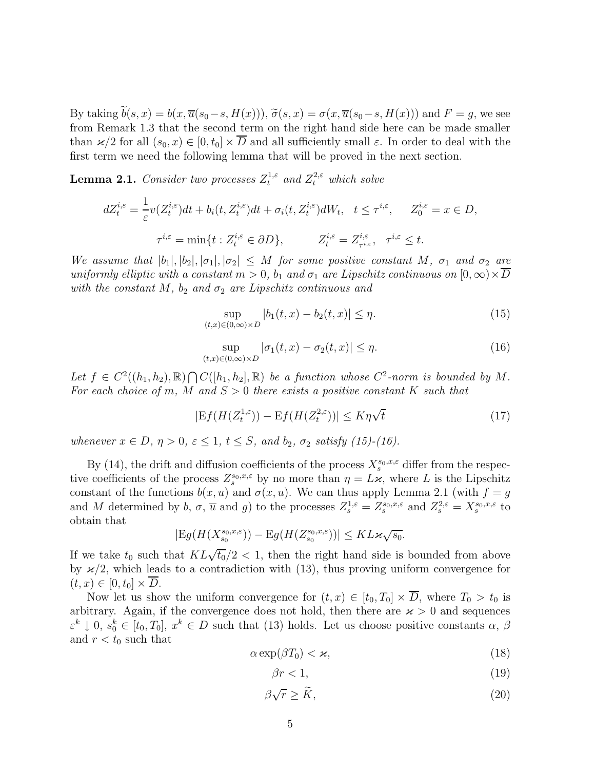By taking  $b(s, x) = b(x, \overline{u}(s_0 - s, H(x))), \widetilde{\sigma}(s, x) = \sigma(x, \overline{u}(s_0 - s, H(x)))$  and  $F = g$ , we see from Remark 1.3 that the second term on the right hand side here can be made smaller than  $\varkappa/2$  for all  $(s_0, x) \in [0, t_0] \times \overline{D}$  and all sufficiently small  $\varepsilon$ . In order to deal with the first term we need the following lemma that will be proved in the next section.

**Lemma 2.1.** Consider two processes  $Z_t^{1,\varepsilon}$  and  $Z_t^{2,\varepsilon}$  which solve

$$
dZ_t^{i,\varepsilon} = \frac{1}{\varepsilon} v(Z_t^{i,\varepsilon}) dt + b_i(t, Z_t^{i,\varepsilon}) dt + \sigma_i(t, Z_t^{i,\varepsilon}) dW_t, \quad t \le \tau^{i,\varepsilon}, \qquad Z_0^{i,\varepsilon} = x \in D,
$$
  

$$
\tau^{i,\varepsilon} = \min\{t : Z_t^{i,\varepsilon} \in \partial D\}, \qquad Z_t^{i,\varepsilon} = Z_{\tau^{i,\varepsilon}}^{i,\varepsilon}, \quad \tau^{i,\varepsilon} \le t.
$$

We assume that  $|b_1|, |b_2|, |\sigma_1|, |\sigma_2| \leq M$  for some positive constant M,  $\sigma_1$  and  $\sigma_2$  are uniformly elliptic with a constant  $m > 0$ ,  $b_1$  and  $\sigma_1$  are Lipschitz continuous on  $[0, \infty) \times \overline{D}$ with the constant M,  $b_2$  and  $\sigma_2$  are Lipschitz continuous and

$$
\sup_{(t,x)\in(0,\infty)\times D} |b_1(t,x) - b_2(t,x)| \le \eta.
$$
\n(15)

$$
\sup_{(t,x)\in(0,\infty)\times D} |\sigma_1(t,x) - \sigma_2(t,x)| \le \eta.
$$
\n(16)

Let  $f \in C^2((h_1, h_2), \mathbb{R}) \cap C([h_1, h_2], \mathbb{R})$  be a function whose  $C^2$ -norm is bounded by M. For each choice of m, M and  $S > 0$  there exists a positive constant K such that

$$
|Ef(H(Z_t^{1,\varepsilon})) - Ef(H(Z_t^{2,\varepsilon}))| \le K\eta\sqrt{t}
$$
\n(17)

whenever  $x \in D$ ,  $\eta > 0$ ,  $\varepsilon \leq 1$ ,  $t \leq S$ , and  $b_2$ ,  $\sigma_2$  satisfy (15)-(16).

By (14), the drift and diffusion coefficients of the process  $X_s^{s_0,x,\varepsilon}$  differ from the respective coefficients of the process  $Z_s^{s_0,x,\varepsilon}$  by no more than  $\eta = L\varkappa$ , where L is the Lipschitz constant of the functions  $b(x, u)$  and  $\sigma(x, u)$ . We can thus apply Lemma 2.1 (with  $f = g$ and M determined by b,  $\sigma$ ,  $\overline{u}$  and g) to the processes  $Z_s^{1,\varepsilon} = Z_s^{s_0,x,\varepsilon}$  and  $Z_s^{2,\varepsilon} = X_s^{s_0,x,\varepsilon}$  to obtain that

$$
|Eg(H(X_{s_0}^{s_0,x,\varepsilon})) - Eg(H(Z_{s_0}^{s_0,x,\varepsilon}))| \leq KL \varkappa \sqrt{s_0}.
$$

If we take  $t_0$  such that  $KL\sqrt{t_0/2}$  < 1, then the right hand side is bounded from above by  $\varkappa/2$ , which leads to a contradiction with (13), thus proving uniform convergence for  $(t, x) \in [0, t_0] \times D$ .

Now let us show the uniform convergence for  $(t, x) \in [t_0, T_0] \times \overline{D}$ , where  $T_0 > t_0$  is arbitrary. Again, if the convergence does not hold, then there are  $\varkappa > 0$  and sequences  $\varepsilon^k \downarrow 0, s_0^k \in [t_0, T_0], x^k \in D$  such that (13) holds. Let us choose positive constants  $\alpha, \beta$ and  $r < t_0$  such that

$$
\alpha \exp(\beta T_0) < \varkappa,\tag{18}
$$

$$
\beta r < 1,\tag{19}
$$

$$
\beta\sqrt{r} \ge \widetilde{K},\tag{20}
$$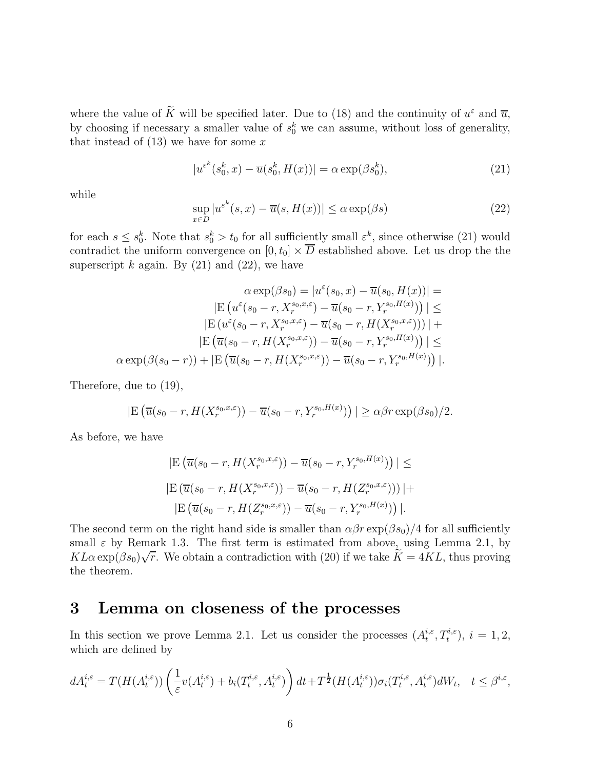where the value of  $\overline{K}$  will be specified later. Due to (18) and the continuity of  $u^{\varepsilon}$  and  $\overline{u}$ , by choosing if necessary a smaller value of  $s_0^k$  we can assume, without loss of generality, that instead of  $(13)$  we have for some x

$$
|u^{\varepsilon^k}(s_0^k, x) - \overline{u}(s_0^k, H(x))| = \alpha \exp(\beta s_0^k), \tag{21}
$$

while

$$
\sup_{x \in D} |u^{\varepsilon^k}(s, x) - \overline{u}(s, H(x))| \le \alpha \exp(\beta s)
$$
\n(22)

for each  $s \leq s_0^k$ . Note that  $s_0^k > t_0$  for all sufficiently small  $\varepsilon^k$ , since otherwise (21) would contradict the uniform convergence on  $[0, t_0] \times \overline{D}$  established above. Let us drop the the superscript k again. By  $(21)$  and  $(22)$ , we have

$$
\alpha \exp(\beta s_0) = |u^{\varepsilon}(s_0, x) - \overline{u}(s_0, H(x))| =
$$
  
\n
$$
|\mathcal{E}(u^{\varepsilon}(s_0 - r, X_r^{s_0, x, \varepsilon}) - \overline{u}(s_0 - r, Y_r^{s_0, H(x)}))| \le
$$
  
\n
$$
|\mathcal{E}(u^{\varepsilon}(s_0 - r, X_r^{s_0, x, \varepsilon}) - \overline{u}(s_0 - r, H(X_r^{s_0, x, \varepsilon})))| +
$$
  
\n
$$
|\mathcal{E}(\overline{u}(s_0 - r, H(X_r^{s_0, x, \varepsilon})) - \overline{u}(s_0 - r, Y_r^{s_0, H(x)}))| \le
$$
  
\n
$$
\alpha \exp(\beta(s_0 - r)) + |\mathcal{E}(\overline{u}(s_0 - r, H(X_r^{s_0, x, \varepsilon})) - \overline{u}(s_0 - r, Y_r^{s_0, H(x)}))|.
$$

Therefore, due to (19),

$$
|\mathcal{E}\left(\overline{u}(s_0-r, H(X_r^{s_0,x,\varepsilon})) - \overline{u}(s_0-r, Y_r^{s_0,H(x)})\right)| \ge \alpha \beta r \exp(\beta s_0)/2.
$$

As before, we have

$$
|E(\overline{u}(s_0 - r, H(X_r^{s_0, x, \varepsilon})) - \overline{u}(s_0 - r, Y_r^{s_0, H(x)}))| \le
$$
  

$$
|E(\overline{u}(s_0 - r, H(X_r^{s_0, x, \varepsilon})) - \overline{u}(s_0 - r, H(Z_r^{s_0, x, \varepsilon})))| +
$$
  

$$
|E(\overline{u}(s_0 - r, H(Z_r^{s_0, x, \varepsilon})) - \overline{u}(s_0 - r, Y_r^{s_0, H(x)}))|.
$$

The second term on the right hand side is smaller than  $\alpha\beta r \exp(\beta s_0)/4$  for all sufficiently small  $\varepsilon$  by Remark 1.3. The first term is estimated from above, using Lemma 2.1, by Small  $\varepsilon$  by Remark 1.5. The first term is estimated from above, using Lemma 2.1, by  $KL\alpha \exp(\beta s_0)\sqrt{r}$ . We obtain a contradiction with (20) if we take  $\widetilde{K} = 4KL$ , thus proving the theorem.

# **3 Lemma on closeness of the processes**

In this section we prove Lemma 2.1. Let us consider the processes  $(A_t^{i,\varepsilon}, T_t^{i,\varepsilon}), i = 1,2$ , which are defined by

$$
dA_t^{i,\varepsilon} = T(H(A_t^{i,\varepsilon})) \left( \frac{1}{\varepsilon} v(A_t^{i,\varepsilon}) + b_i(T_t^{i,\varepsilon}, A_t^{i,\varepsilon}) \right) dt + T^{\frac{1}{2}}(H(A_t^{i,\varepsilon})) \sigma_i(T_t^{i,\varepsilon}, A_t^{i,\varepsilon}) dW_t, \quad t \le \beta^{i,\varepsilon},
$$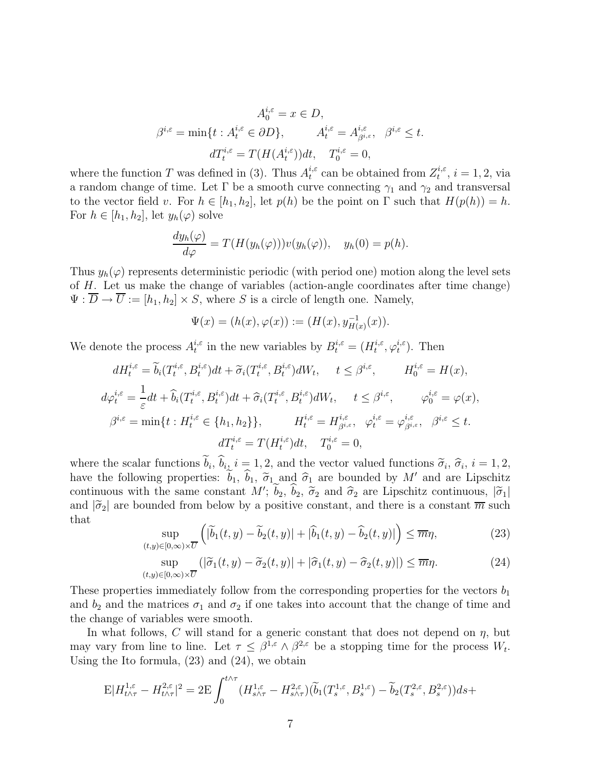$$
A_0^{i,\varepsilon} = x \in D,
$$
  

$$
\beta^{i,\varepsilon} = \min\{t : A_t^{i,\varepsilon} \in \partial D\}, \qquad A_t^{i,\varepsilon} = A_{\beta^{i,\varepsilon}}^{i,\varepsilon}, \quad \beta^{i,\varepsilon} \le t.
$$
  

$$
dT_t^{i,\varepsilon} = T(H(A_t^{i,\varepsilon}))dt, \quad T_0^{i,\varepsilon} = 0,
$$

where the function T was defined in (3). Thus  $A_t^{i,\epsilon}$  can be obtained from  $Z_t^{i,\epsilon}$ ,  $i = 1, 2$ , via a random change of time. Let  $\Gamma$  be a smooth curve connecting  $\gamma_1$  and  $\gamma_2$  and transversal to the vector field v. For  $h \in [h_1, h_2]$ , let  $p(h)$  be the point on  $\Gamma$  such that  $H(p(h)) = h$ . For  $h \in [h_1, h_2]$ , let  $y_h(\varphi)$  solve

$$
\frac{dy_h(\varphi)}{d\varphi} = T(H(y_h(\varphi)))v(y_h(\varphi)), \quad y_h(0) = p(h).
$$

Thus  $y_h(\varphi)$  represents deterministic periodic (with period one) motion along the level sets of H. Let us make the change of variables (action-angle coordinates after time change)  $\Psi : \overline{D} \to \overline{U} := [h_1, h_2] \times S$ , where S is a circle of length one. Namely,

$$
\Psi(x) = (h(x), \varphi(x)) := (H(x), y_{H(x)}^{-1}(x)).
$$

We denote the process  $A_t^{i,\varepsilon}$  in the new variables by  $B_t^{i,\varepsilon} = (H_t^{i,\varepsilon}, \varphi_t^{i,\varepsilon})$ . Then

 $(t,$ 

$$
dH_t^{i,\varepsilon} = \widetilde{b}_i(T_t^{i,\varepsilon}, B_t^{i,\varepsilon})dt + \widetilde{\sigma}_i(T_t^{i,\varepsilon}, B_t^{i,\varepsilon})dW_t, \quad t \leq \beta^{i,\varepsilon}, \qquad H_0^{i,\varepsilon} = H(x),
$$
  
\n
$$
d\varphi_t^{i,\varepsilon} = \frac{1}{\varepsilon}dt + \widehat{b}_i(T_t^{i,\varepsilon}, B_t^{i,\varepsilon})dt + \widehat{\sigma}_i(T_t^{i,\varepsilon}, B_t^{i,\varepsilon})dW_t, \quad t \leq \beta^{i,\varepsilon}, \qquad \varphi_0^{i,\varepsilon} = \varphi(x),
$$
  
\n
$$
\beta^{i,\varepsilon} = \min\{t : H_t^{i,\varepsilon} \in \{h_1, h_2\}\}, \qquad H_t^{i,\varepsilon} = H_{\beta^{i,\varepsilon}}^{i,\varepsilon}, \quad \varphi_t^{i,\varepsilon} = \varphi_{\beta^{i,\varepsilon}}^{i,\varepsilon}, \quad \beta^{i,\varepsilon} \leq t.
$$
  
\n
$$
dT_t^{i,\varepsilon} = T(H_t^{i,\varepsilon})dt, \quad T_0^{i,\varepsilon} = 0,
$$

where the scalar functions  $b_i$ ,  $b_i$ ,  $i = 1, 2$ , and the vector valued functions  $\widetilde{\sigma}_i$ ,  $\widehat{\sigma}_i$ ,  $i = 1, 2$ , have the following properties:  $b_1$ ,  $b_1$ ,  $\tilde{\sigma}_1$  and  $\hat{\sigma}_1$  are bounded by M' and are Lipschitz continuous with the same constant  $M'$ ;  $b_2$ ,  $b_2$ ,  $\tilde{\sigma}_2$  and  $\hat{\sigma}_2$  are Lipschitz continuous,  $|\tilde{\sigma}_1|$ and  $|\tilde{\sigma}_2|$  are bounded from below by a positive constant, and there is a constant  $\overline{m}$  such that

$$
\sup_{y \in [0,\infty) \times \overline{U}} \left( |\widetilde{b}_1(t,y) - \widetilde{b}_2(t,y)| + |\widehat{b}_1(t,y) - \widehat{b}_2(t,y)| \right) \le \overline{m}\eta,
$$
\n(23)

$$
\sup_{(t,y)\in[0,\infty)\times\overline{U}}(|\widetilde{\sigma}_1(t,y)-\widetilde{\sigma}_2(t,y)|+|\widehat{\sigma}_1(t,y)-\widehat{\sigma}_2(t,y)|)\leq\overline{m}\eta.
$$
 (24)

These properties immediately follow from the corresponding properties for the vectors  $b_1$ and  $b_2$  and the matrices  $\sigma_1$  and  $\sigma_2$  if one takes into account that the change of time and the change of variables were smooth.

In what follows,  $C$  will stand for a generic constant that does not depend on  $\eta$ , but may vary from line to line. Let  $\tau \leq \beta^{1,\varepsilon} \wedge \beta^{2,\varepsilon}$  be a stopping time for the process  $W_t$ . Using the Ito formula, (23) and (24), we obtain

$$
\mathcal{E}|H_{t\wedge\tau}^{1,\varepsilon} - H_{t\wedge\tau}^{2,\varepsilon}|^2 = 2\mathcal{E}\int_0^{t\wedge\tau} (H_{s\wedge\tau}^{1,\varepsilon} - H_{s\wedge\tau}^{2,\varepsilon})(\widetilde{b}_1(T_s^{1,\varepsilon}, B_s^{1,\varepsilon}) - \widetilde{b}_2(T_s^{2,\varepsilon}, B_s^{2,\varepsilon}))ds +
$$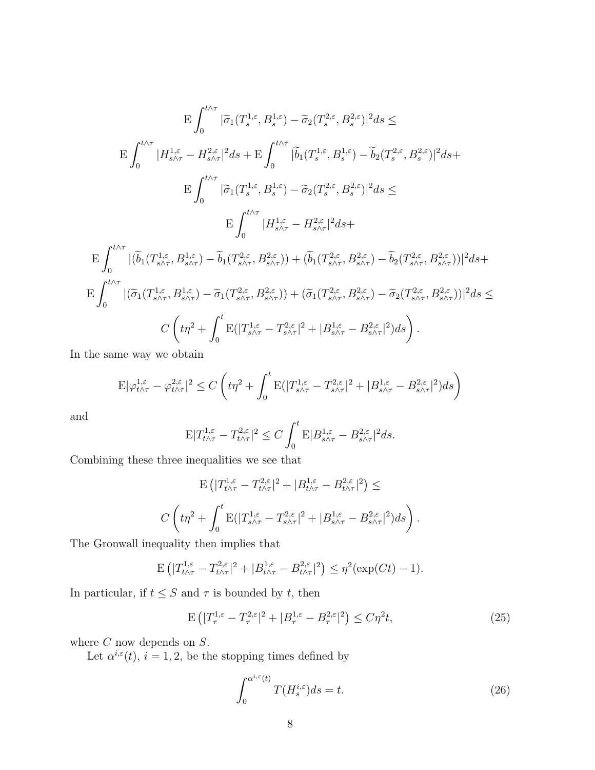$$
E\int_{0}^{t\wedge\tau} |\tilde{\sigma}_{1}(T_{s}^{1,\varepsilon},B_{s}^{1,\varepsilon}) - \tilde{\sigma}_{2}(T_{s}^{2,\varepsilon},B_{s}^{2,\varepsilon})|^{2}ds \leq
$$
\n
$$
E\int_{0}^{t\wedge\tau} |H_{s\wedge\tau}^{1,\varepsilon} - H_{s\wedge\tau}^{2,\varepsilon}|^{2}ds + E\int_{0}^{t\wedge\tau} |\tilde{b}_{1}(T_{s}^{1,\varepsilon},B_{s}^{1,\varepsilon}) - \tilde{b}_{2}(T_{s}^{2,\varepsilon},B_{s}^{2,\varepsilon})|^{2}ds +
$$
\n
$$
E\int_{0}^{t\wedge\tau} |\tilde{\sigma}_{1}(T_{s}^{1,\varepsilon},B_{s}^{1,\varepsilon}) - \tilde{\sigma}_{2}(T_{s}^{2,\varepsilon},B_{s}^{2,\varepsilon})|^{2}ds \leq
$$
\n
$$
E\int_{0}^{t\wedge\tau} |H_{s\wedge\tau}^{1,\varepsilon} - H_{s\wedge\tau}^{2,\varepsilon}|^{2}ds +
$$
\n
$$
E\int_{0}^{t\wedge\tau} |(\tilde{b}_{1}(T_{s\wedge\tau}^{1,\varepsilon},B_{s\wedge\tau}^{1,\varepsilon}) - \tilde{b}_{1}(T_{s\wedge\tau}^{2,\varepsilon},B_{s\wedge\tau}^{2,\varepsilon})) + (\tilde{b}_{1}(T_{s\wedge\tau}^{2,\varepsilon},B_{s\wedge\tau}^{2,\varepsilon}) - \tilde{b}_{2}(T_{s\wedge\tau}^{2,\varepsilon},B_{s\wedge\tau}^{2,\varepsilon}))|^{2}ds +
$$
\n
$$
E\int_{0}^{t\wedge\tau} |(\tilde{\sigma}_{1}(T_{s\wedge\tau}^{1,\varepsilon},B_{s\wedge\tau}^{1,\varepsilon}) - \tilde{\sigma}_{1}(T_{s\wedge\tau}^{2,\varepsilon},B_{s\wedge\tau}^{2,\varepsilon})) + (\tilde{\sigma}_{1}(T_{s\wedge\tau}^{2,\varepsilon},B_{s\wedge\tau}^{2,\varepsilon}) - \tilde{\sigma}_{2}(T_{s\wedge\tau}^{2,\varepsilon},B_{s\wedge\tau}^{
$$

In the same way we obtain

$$
\mathbb{E}|\varphi_{t\wedge\tau}^{1,\varepsilon}-\varphi_{t\wedge\tau}^{2,\varepsilon}|^2 \le C\left(t\eta^2+\int_0^t \mathbb{E}(|T_{s\wedge\tau}^{1,\varepsilon}-T_{s\wedge\tau}^{2,\varepsilon}|^2+|B_{s\wedge\tau}^{1,\varepsilon}-B_{s\wedge\tau}^{2,\varepsilon}|^2)ds\right)
$$

and

$$
\mathbb{E}|T_{t\wedge\tau}^{1,\varepsilon}-T_{t\wedge\tau}^{2,\varepsilon}|^2 \leq C\int_0^t \mathbb{E}|B_{s\wedge\tau}^{1,\varepsilon}-B_{s\wedge\tau}^{2,\varepsilon}|^2ds.
$$

Combining these three inequalities we see that

$$
\mathcal{E}\left(|T_{t\wedge\tau}^{1,\varepsilon}-T_{t\wedge\tau}^{2,\varepsilon}|^2+|B_{t\wedge\tau}^{1,\varepsilon}-B_{t\wedge\tau}^{2,\varepsilon}|^2\right)\le
$$
  

$$
C\left(t\eta^2+\int_0^t\mathcal{E}(|T_{s\wedge\tau}^{1,\varepsilon}-T_{s\wedge\tau}^{2,\varepsilon}|^2+|B_{s\wedge\tau}^{1,\varepsilon}-B_{s\wedge\tau}^{2,\varepsilon}|^2)ds\right).
$$

The Gronwall inequality then implies that

$$
\mathbb{E}\left(|T^{1,\varepsilon}_{t\wedge\tau}-T^{2,\varepsilon}_{t\wedge\tau}|^2+|B^{1,\varepsilon}_{t\wedge\tau}-B^{2,\varepsilon}_{t\wedge\tau}|^2\right)\leq\eta^2(\exp(Ct)-1).
$$

In particular, if  $t \leq S$  and  $\tau$  is bounded by t, then

$$
\mathcal{E}\left(|T_{\tau}^{1,\varepsilon} - T_{\tau}^{2,\varepsilon}|^{2} + |B_{\tau}^{1,\varepsilon} - B_{\tau}^{2,\varepsilon}|^{2}\right) \le C\eta^{2}t,\tag{25}
$$

where  $C$  now depends on  $S$ .

Let  $\alpha^{i,\epsilon}(t)$ ,  $i = 1, 2$ , be the stopping times defined by

$$
\int_0^{\alpha^{i,\varepsilon}(t)} T(H_s^{i,\varepsilon}) ds = t.
$$
\n(26)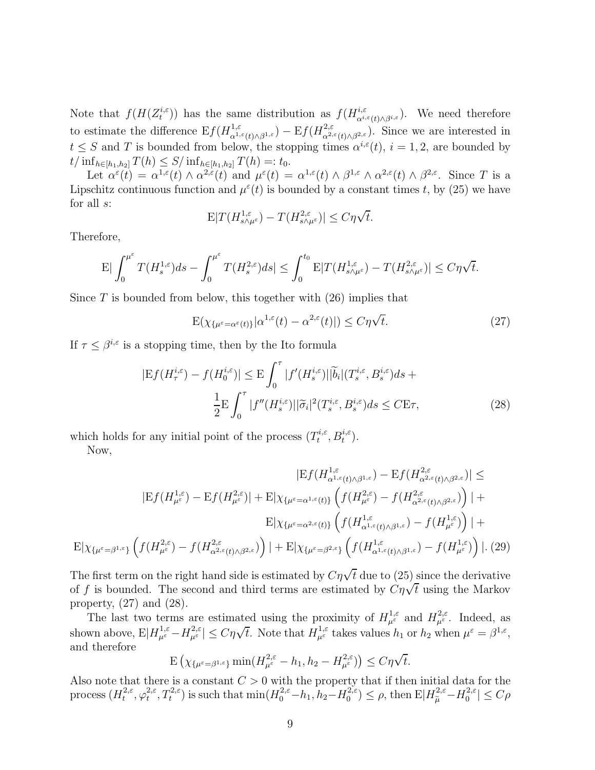Note that  $f(H(Z_t^{i,\varepsilon}))$  has the same distribution as  $f(H_{\alpha^{i,\varepsilon}(t)\wedge\beta^{i,\varepsilon}}^{i,\varepsilon}).$  We need therefore to estimate the difference  $E f(H_{\alpha^{1,\varepsilon}(t)\wedge\beta^{1,\varepsilon}}^{1,\varepsilon}) - E f(H_{\alpha^{2,\varepsilon}(t)\wedge\beta^{2,\varepsilon}}^{2,\varepsilon}).$  Since we are interested in  $t \leq S$  and T is bounded from below, the stopping times  $\alpha^{i,\epsilon}(t)$ ,  $i = 1, 2$ , are bounded by  $t/\inf_{h\in[h_1,h_2]}T(h)\leq S/\inf_{h\in[h_1,h_2]}T(h)=:t_0.$ 

Let  $\alpha^{\varepsilon}(t) = \alpha^{1,\varepsilon}(t) \wedge \alpha^{2,\varepsilon}(t)$  and  $\mu^{\varepsilon}(t) = \alpha^{1,\varepsilon}(t) \wedge \beta^{1,\varepsilon} \wedge \alpha^{2,\varepsilon}(t) \wedge \beta^{2,\varepsilon}$ . Since T is a Lipschitz continuous function and  $\mu^{\epsilon}(t)$  is bounded by a constant times t, by (25) we have for all s:

$$
\mathbf{E}|T(H_{s\wedge\mu^{\varepsilon}}^{1,\varepsilon})-T(H_{s\wedge\mu^{\varepsilon}}^{2,\varepsilon})|\leq C\eta\sqrt{t}.
$$

Therefore,

$$
\mathbb{E}|\int_0^{\mu^\varepsilon} T(H_s^{1,\varepsilon})ds - \int_0^{\mu^\varepsilon} T(H_s^{2,\varepsilon})ds| \le \int_0^{t_0} \mathbb{E}|T(H_{s\wedge\mu^\varepsilon}^{1,\varepsilon}) - T(H_{s\wedge\mu^\varepsilon}^{2,\varepsilon})| \le C\eta\sqrt{t}.
$$

Since  $T$  is bounded from below, this together with  $(26)$  implies that

$$
E(\chi_{\{\mu^{\varepsilon}=\alpha^{\varepsilon}(t)\}}|\alpha^{1,\varepsilon}(t)-\alpha^{2,\varepsilon}(t)|)\leq C\eta\sqrt{t}.
$$
\n(27)

If  $\tau \leq \beta^{i,\varepsilon}$  is a stopping time, then by the Ito formula

$$
|Ef(H^{i,\varepsilon}_{\tau}) - f(H^{i,\varepsilon}_{0})| \leq E \int_{0}^{\tau} |f'(H^{i,\varepsilon}_{s})| |\widetilde{b}_{i}|(T^{i,\varepsilon}_{s}, B^{i,\varepsilon}_{s}) ds +
$$

$$
\frac{1}{2} E \int_{0}^{\tau} |f''(H^{i,\varepsilon}_{s})| |\widetilde{\sigma}_{i}|^{2} (T^{i,\varepsilon}_{s}, B^{i,\varepsilon}_{s}) ds \leq C E \tau,
$$
(28)

which holds for any initial point of the process  $(T_t^{i,\varepsilon}, B_t^{i,\varepsilon})$ . Now,

$$
|E f(H_{\alpha^{1,\varepsilon}(t)\wedge\beta^{1,\varepsilon}}^{1,\varepsilon}) - E f(H_{\alpha^{2,\varepsilon}(t)\wedge\beta^{2,\varepsilon}}^{2,\varepsilon})| \le
$$
  
\n
$$
|E f(H_{\mu^{\varepsilon}}^{1,\varepsilon}) - E f(H_{\mu^{\varepsilon}}^{2,\varepsilon})| + E|\chi_{\{\mu^{\varepsilon} = \alpha^{1,\varepsilon}(t)\}} \left( f(H_{\mu^{\varepsilon}}^{2,\varepsilon}) - f(H_{\alpha^{2,\varepsilon}(t)\wedge\beta^{2,\varepsilon}}^{2,\varepsilon}) \right)| +
$$
  
\n
$$
E|\chi_{\{\mu^{\varepsilon} = \alpha^{2,\varepsilon}(t)\}} \left( f(H_{\alpha^{1,\varepsilon}(t)\wedge\beta^{1,\varepsilon}}^{1,\varepsilon}) - f(H_{\mu^{\varepsilon}}^{1,\varepsilon}) \right)| +
$$
  
\n
$$
E|\chi_{\{\mu^{\varepsilon} = \beta^{1,\varepsilon}\}} \left( f(H_{\mu^{\varepsilon}}^{2,\varepsilon}) - f(H_{\alpha^{2,\varepsilon}(t)\wedge\beta^{2,\varepsilon})}^{2,\varepsilon} \right) + E|\chi_{\{\mu^{\varepsilon} = \beta^{2,\varepsilon}\}} \left( f(H_{\alpha^{1,\varepsilon}(t)\wedge\beta^{1,\varepsilon}}^{1,\varepsilon}) - f(H_{\mu^{\varepsilon}}^{1,\varepsilon}) \right)|. (29)
$$

The first term on the right hand side is estimated by  $C\eta\sqrt{t}$  due to (25) since the derivative of f is bounded. The second and third terms are estimated by  $C\eta\sqrt{t}$  using the Markov property,  $(27)$  and  $(28)$ .

The last two terms are estimated using the proximity of  $H_{\mu^{\varepsilon}}^{1,\varepsilon}$  and  $H_{\mu^{\varepsilon}}^{2,\varepsilon}$ . Indeed, as shown above,  $E|H^{1,\varepsilon}_{\mu^{\varepsilon}} - H^{2,\varepsilon}_{\mu^{\varepsilon}}| \leq C\eta\sqrt{t}$ . Note that  $H^{1,\varepsilon}_{\mu^{\varepsilon}}$  takes values  $h_1$  or  $h_2$  when  $\mu^{\varepsilon} = \beta^{1,\varepsilon}$ , and therefore

$$
\mathrm{E}\left(\chi_{\{\mu^\varepsilon=\beta^{1,\varepsilon}\}}\min(H^{2,\varepsilon}_{\mu^\varepsilon}-h_1,h_2-H^{2,\varepsilon}_{\mu^\varepsilon})\right)\leq C\eta\sqrt{t}.
$$

Also note that there is a constant  $C > 0$  with the property that if then initial data for the process  $(H_t^{2,\varepsilon}, \varphi_t^{2,\varepsilon}, T_t^{2,\varepsilon})$  is such that  $\min(H_0^{2,\varepsilon}-h_1, h_2-H_0^{2,\varepsilon}) \leq \rho$ , then  $\mathbb{E}|H_{\widetilde{\mu}}^{2,\varepsilon}-H_0^{2,\varepsilon}| \leq C\rho$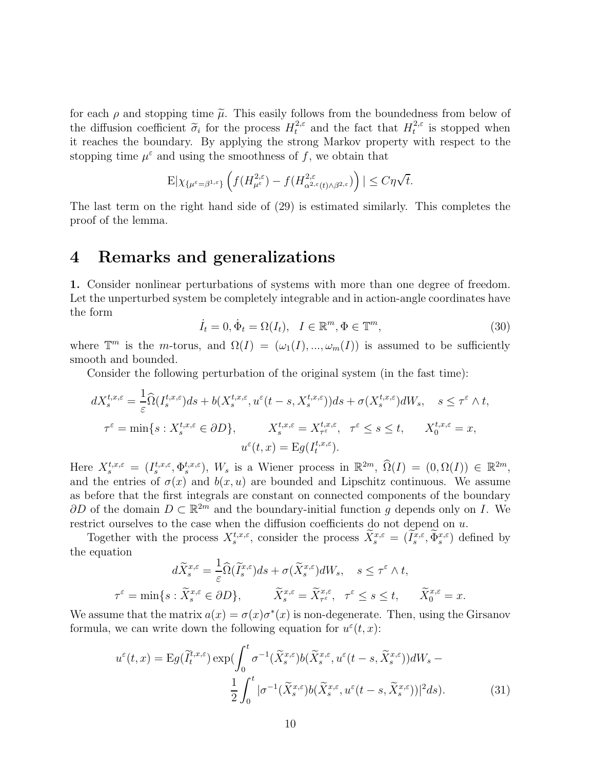for each  $\rho$  and stopping time  $\tilde{\mu}$ . This easily follows from the boundedness from below of the diffusion coefficient  $\tilde{\sigma}_i$  for the process  $H_t^{2,\varepsilon}$  and the fact that  $H_t^{2,\varepsilon}$  is stopped when it reaches the boundary. By applying the strong Markov property with respect to the stopping time  $\mu^{\varepsilon}$  and using the smoothness of f, we obtain that

$$
E|\chi_{\{\mu^{\varepsilon}=\beta^{1,\varepsilon}\}}\left(f(H^{2,\varepsilon}_{\mu^{\varepsilon}})-f(H^{2,\varepsilon}_{\alpha^{2,\varepsilon}(t)\wedge\beta^{2,\varepsilon}})\right)|\leq C\eta\sqrt{t}.
$$

The last term on the right hand side of (29) is estimated similarly. This completes the proof of the lemma.

# **4 Remarks and generalizations**

**1.** Consider nonlinear perturbations of systems with more than one degree of freedom. Let the unperturbed system be completely integrable and in action-angle coordinates have the form

$$
\dot{I}_t = 0, \dot{\Phi}_t = \Omega(I_t), \quad I \in \mathbb{R}^m, \Phi \in \mathbb{T}^m,
$$
\n(30)

where  $\mathbb{T}^m$  is the *m*-torus, and  $\Omega(I)=(\omega_1(I), ..., \omega_m(I))$  is assumed to be sufficiently smooth and bounded.

Consider the following perturbation of the original system (in the fast time):

$$
dX_s^{t,x,\varepsilon} = \frac{1}{\varepsilon} \widehat{\Omega}(I_s^{t,x,\varepsilon}) ds + b(X_s^{t,x,\varepsilon}, u^{\varepsilon}(t-s, X_s^{t,x,\varepsilon})) ds + \sigma(X_s^{t,x,\varepsilon}) dW_s, \quad s \le \tau^{\varepsilon} \wedge t,
$$
  

$$
\tau^{\varepsilon} = \min\{s : X_s^{t,x,\varepsilon} \in \partial D\}, \qquad X_s^{t,x,\varepsilon} = X_{\tau^{\varepsilon}}^{t,x,\varepsilon}, \quad \tau^{\varepsilon} \le s \le t, \qquad X_0^{t,x,\varepsilon} = x,
$$
  

$$
u^{\varepsilon}(t,x) = \mathrm{E}g(I_t^{t,x,\varepsilon}).
$$

Here  $X_s^{t,x,\varepsilon} = (I_s^{t,x,\varepsilon}, \Phi_s^{t,x,\varepsilon}), W_s$  is a Wiener process in  $\mathbb{R}^{2m}$ ,  $\widehat{\Omega}(I) = (0,\Omega(I)) \in \mathbb{R}^{2m}$ , and the entries of  $\sigma(x)$  and  $b(x, u)$  are bounded and Lipschitz continuous. We assume as before that the first integrals are constant on connected components of the boundary ∂D of the domain  $D \subset \mathbb{R}^{2m}$  and the boundary-initial function q depends only on I. We restrict ourselves to the case when the diffusion coefficients do not depend on u.

Together with the process  $X_s^{t,x,\varepsilon}$ , consider the process  $\bar{X}_s^{x,\varepsilon} = (\bar{I}_s^{x,\varepsilon}, \bar{\Phi}_s^{x,\varepsilon})$  defined by the equation

$$
d\widetilde{X}_{s}^{x,\varepsilon} = \frac{1}{\varepsilon}\widehat{\Omega}(\widetilde{I}_{s}^{x,\varepsilon})ds + \sigma(\widetilde{X}_{s}^{x,\varepsilon})dW_{s}, \quad s \leq \tau^{\varepsilon} \wedge t,
$$
  

$$
\tau^{\varepsilon} = \min\{s : \widetilde{X}_{s}^{x,\varepsilon} \in \partial D\}, \qquad \widetilde{X}_{s}^{x,\varepsilon} = \widetilde{X}_{\tau^{\varepsilon}}^{x,\varepsilon}, \quad \tau^{\varepsilon} \leq s \leq t, \qquad \widetilde{X}_{0}^{x,\varepsilon} = x.
$$

We assume that the matrix  $a(x) = \sigma(x)\sigma^*(x)$  is non-degenerate. Then, using the Girsanov formula, we can write down the following equation for  $u^{\varepsilon}(t, x)$ :

$$
u^{\varepsilon}(t,x) = \mathcal{E}g(\widetilde{I}_{t}^{t,x,\varepsilon})\exp(\int_{0}^{t}\sigma^{-1}(\widetilde{X}_{s}^{x,\varepsilon})b(\widetilde{X}_{s}^{x,\varepsilon},u^{\varepsilon}(t-s,\widetilde{X}_{s}^{x,\varepsilon}))dW_{s} - \frac{1}{2}\int_{0}^{t}|\sigma^{-1}(\widetilde{X}_{s}^{x,\varepsilon})b(\widetilde{X}_{s}^{x,\varepsilon},u^{\varepsilon}(t-s,\widetilde{X}_{s}^{x,\varepsilon}))|^{2}ds). \tag{31}
$$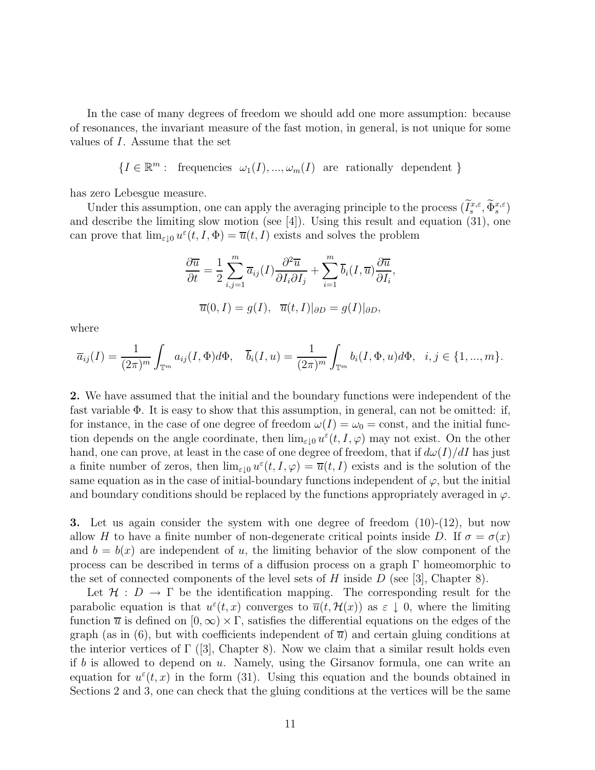In the case of many degrees of freedom we should add one more assumption: because of resonances, the invariant measure of the fast motion, in general, is not unique for some values of I. Assume that the set

$$
\{I \in \mathbb{R}^m: \text{ frequencies } \omega_1(I), \dots, \omega_m(I) \text{ are rationally dependent }\}
$$

has zero Lebesgue measure.

Under this assumption, one can apply the averaging principle to the process  $(I_s^{x,\varepsilon}, \Phi_s^{x,\varepsilon})$ and describe the limiting slow motion (see [4]). Using this result and equation (31), one can prove that  $\lim_{\varepsilon\to 0} u^{\varepsilon}(t, I, \Phi) = \overline{u}(t, I)$  exists and solves the problem

$$
\frac{\partial \overline{u}}{\partial t} = \frac{1}{2} \sum_{i,j=1}^{m} \overline{a}_{ij}(I) \frac{\partial^2 \overline{u}}{\partial I_i \partial I_j} + \sum_{i=1}^{m} \overline{b}_i(I, \overline{u}) \frac{\partial \overline{u}}{\partial I_i},
$$

$$
\overline{u}(0, I) = g(I), \quad \overline{u}(t, I)|_{\partial D} = g(I)|_{\partial D},
$$

where

$$
\overline{a}_{ij}(I) = \frac{1}{(2\pi)^m} \int_{\mathbb{T}^m} a_{ij}(I, \Phi) d\Phi, \quad \overline{b}_i(I, u) = \frac{1}{(2\pi)^m} \int_{\mathbb{T}^m} b_i(I, \Phi, u) d\Phi, \quad i, j \in \{1, ..., m\}.
$$

**2.** We have assumed that the initial and the boundary functions were independent of the fast variable  $\Phi$ . It is easy to show that this assumption, in general, can not be omitted: if, for instance, in the case of one degree of freedom  $\omega(I) = \omega_0 = \text{const}$ , and the initial function depends on the angle coordinate, then  $\lim_{\varepsilon\downarrow 0} u^{\varepsilon}(t, I, \varphi)$  may not exist. On the other hand, one can prove, at least in the case of one degree of freedom, that if  $d\omega(I)/dI$  has just a finite number of zeros, then  $\lim_{\varepsilon \downarrow 0} u^{\varepsilon}(t, I, \varphi) = \overline{u}(t, I)$  exists and is the solution of the same equation as in the case of initial-boundary functions independent of  $\varphi$ , but the initial and boundary conditions should be replaced by the functions appropriately averaged in  $\varphi$ .

**3.** Let us again consider the system with one degree of freedom  $(10)-(12)$ , but now allow H to have a finite number of non-degenerate critical points inside D. If  $\sigma = \sigma(x)$ and  $b = b(x)$  are independent of u, the limiting behavior of the slow component of the process can be described in terms of a diffusion process on a graph  $\Gamma$  homeomorphic to the set of connected components of the level sets of H inside  $D$  (see [3], Chapter 8).

Let  $\mathcal{H}: D \to \Gamma$  be the identification mapping. The corresponding result for the parabolic equation is that  $u^{\varepsilon}(t, x)$  converges to  $\overline{u}(t, \mathcal{H}(x))$  as  $\varepsilon \downarrow 0$ , where the limiting function  $\overline{u}$  is defined on  $[0, \infty) \times \Gamma$ , satisfies the differential equations on the edges of the graph (as in (6), but with coefficients independent of  $\overline{u}$ ) and certain gluing conditions at the interior vertices of  $\Gamma$  ([3], Chapter 8). Now we claim that a similar result holds even if b is allowed to depend on  $u$ . Namely, using the Girsanov formula, one can write an equation for  $u^{\varepsilon}(t, x)$  in the form (31). Using this equation and the bounds obtained in Sections 2 and 3, one can check that the gluing conditions at the vertices will be the same